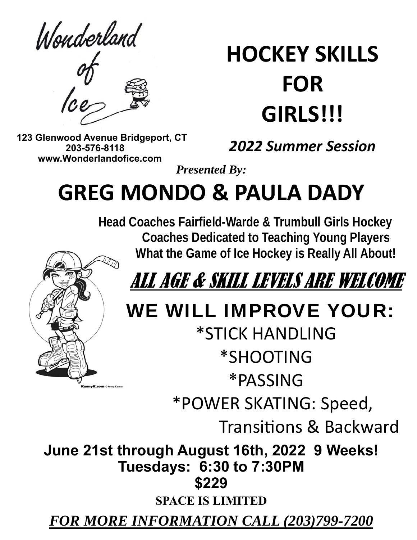Wonderland

# **HOCKEY SKILLS FOR GIRLS!!!**

 **123 Glenwood Avenue Bridgeport, CT 203-576-8118 www.Wonderlandofice.com**

## *2022 Summer Session*

*Presented By:* 

## **GREG MONDO & PAULA DADY**

 **Head Coaches Fairfield-Warde & Trumbull Girls Hockey Coaches Dedicated to Teaching Young Players What the Game of Ice Hockey is Really All About!** 



# ALL AGE & SKILL LEVELS ARE WELCOME

## WE WILL IMPROVE YOUR:

\*STICK HANDLING \*SHOOTING \*PASSING \*POWER SKATING: Speed,

Transitions & Backward

**June 21st through August 16th, 2022 9 Weeks! Tuesdays: 6:30 to 7:30PM \$229** 

**SPACE IS LIMITED** 

*FOR MORE INFORMATION CALL (203)799-7200*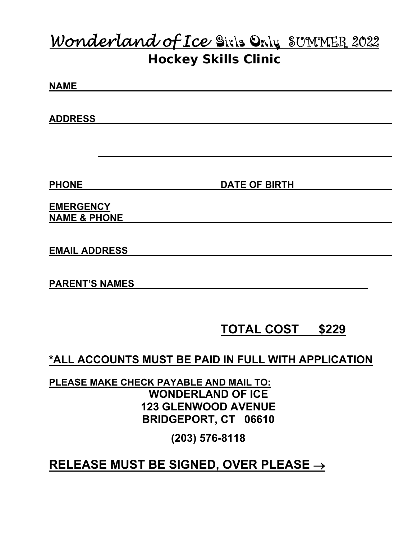## *Wonderland of Ice*Girls OnlySUMMER 2022 **Hockey Skills Clinic**

**NAME** 

**ADDRESS** 

**PHONE** DATE OF BIRTH

**EMERGENCY NAME & PHONE** 

**EMAIL ADDRESS** 

**PARENT'S NAMES** 

### **TOTAL COST \$229**

**\*ALL ACCOUNTS MUST BE PAID IN FULL WITH APPLICATION** 

**PLEASE MAKE CHECK PAYABLE AND MAIL TO: WONDERLAND OF ICE 123 GLENWOOD AVENUE BRIDGEPORT, CT 06610** 

**(203) 576-8118** 

### **RELEASE MUST BE SIGNED, OVER PLEASE**